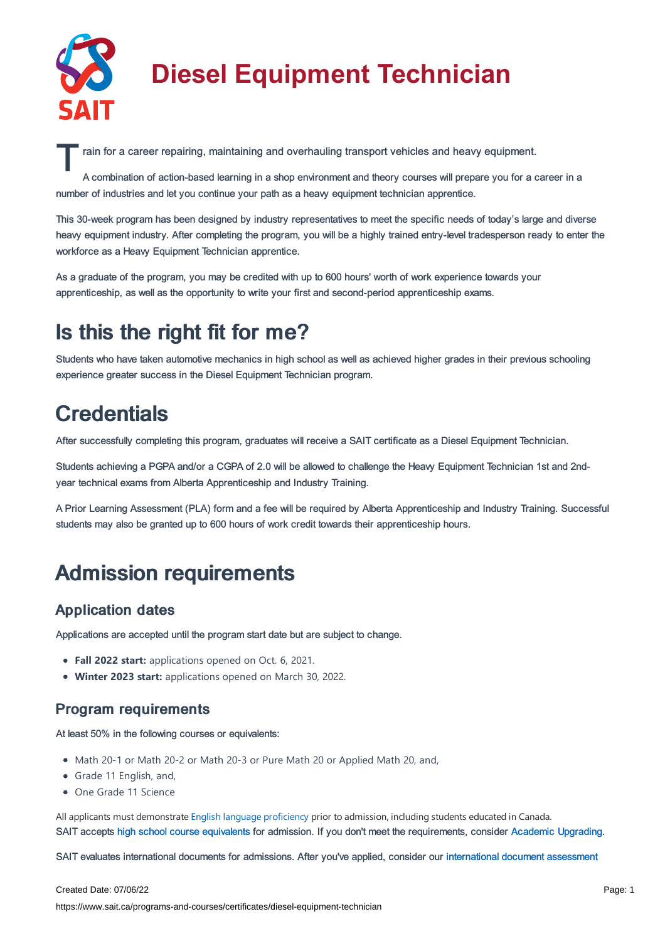

# **Diesel Equipment Technician**

rain for a career repairing, maintaining and overhauling transport vehicles and heavy equipment.<br>A combination of action-based learning in a shop environment and theory courses will prepare you for a c

A combination of action-based learning in a shop environment and theory courses will prepare you for a career in a number of industries and let you continue your path as a heavy equipment technician apprentice.

This 30-week program has been designed by industry representatives to meet the specific needs of today's large and diverse heavy equipment industry. After completing the program, you will be a highly trained entry-level tradesperson ready to enter the workforce as a Heavy Equipment Technician apprentice.

As a graduate of the program, you may be credited with up to 600 hours' worth of work experience towards your apprenticeship, as well as the opportunity to write your first and second-period apprenticeship exams.

### Is this the right fit for me?

Students who have taken automotive mechanics in high school as well as achieved higher grades in their previous schooling experience greater success in the Diesel Equipment Technician program.

## **Credentials**

After successfully completing this program, graduates will receive a SAIT certificate as a Diesel Equipment Technician.

Students achieving a PGPA and/or a CGPA of 2.0 will be allowed to challenge the Heavy Equipment Technician 1st and 2ndyear technical exams from Alberta Apprenticeship and Industry Training.

A Prior Learning Assessment (PLA) form and a fee will be required by Alberta Apprenticeship and Industry Training. Successful students may also be granted up to 600 hours of work credit towards their apprenticeship hours.

### Admission requirements

#### Application dates

Applications are accepted until the program start date but are subject to change.

- **Fall 2022 start:** applications opened on Oct. 6, 2021.
- **Winter 2023 start:** applications opened on March 30, 2022.

### Program requirements

At least 50% in the following courses or equivalents:

- Math 20-1 or Math 20-2 or Math 20-3 or Pure Math 20 or Applied Math 20, and,
- Grade 11 English, and,
- One Grade 11 Science

All applicants must demonstrate English language [proficiency](https://www.sait.ca/admissions/before-you-apply/english-proficiency) prior to admission, including students educated in Canada. SAIT accepts high school course [equivalents](https://www.sait.ca/admissions/before-you-apply/high-school-course-equivalencies) for admission. If you don't meet the requirements, consider Academic [Upgrading.](https://www.sait.ca/programs-and-courses/academic-upgrading)

SAIT evaluates international documents for admissions. After you've applied, consider our [international](https://www.sait.ca/admissions/after-you-apply/international-document-assessment) document assessment

#### Created Date: 07/06/22

https://www.sait.ca/programs-and-courses/certificates/diesel-equipment-technician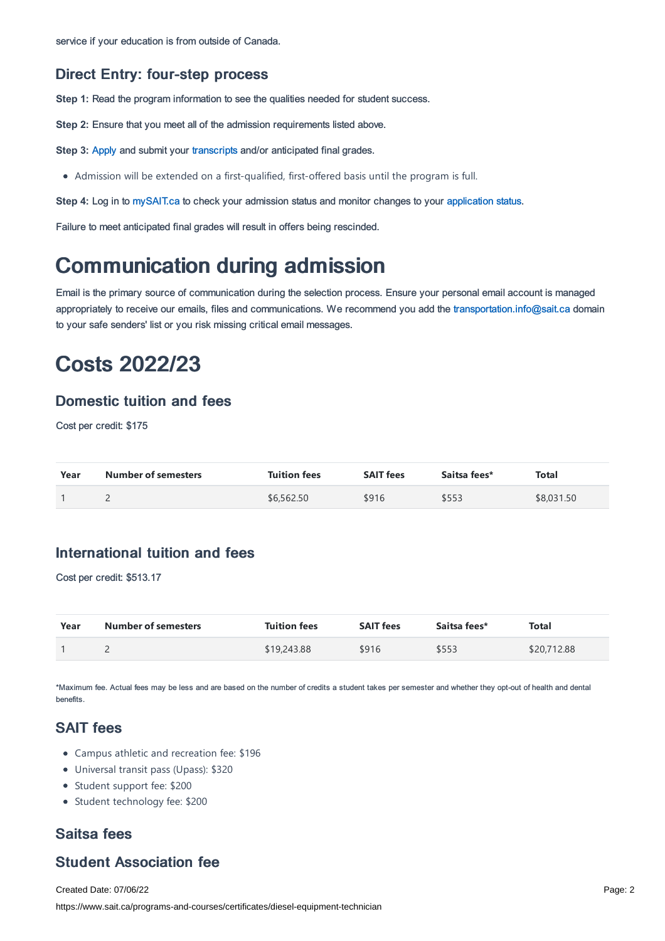#### Direct Entry: four-step process

**Step 1:** Read the program information to see the qualities needed for student success.

**Step 2:** Ensure that you meet all of the admission requirements listed above.

**Step 3: [Apply](https://www.sait.ca/admissions/apply) and submit your [transcripts](https://www.sait.ca/admissions/after-you-apply/transcripts-and-supporting-documents) and/or anticipated final grades.** 

Admission will be extended on a first-qualified, first-offered basis until the program is full.

**Step 4:** Log in to [mySAIT.ca](http://www.mysait.ca/) to check your admission status and monitor changes to your [application](https://www.sait.ca/admissions/after-you-apply/tracking-your-application) status.

Failure to meet anticipated final grades will result in offers being rescinded.

### Communication during admission

Email is the primary source of communication during the selection process. Ensure your personal email account is managed appropriately to receive our emails, files and communications. We recommend you add the [transportation.info@sait.ca](https://sait.camailto:transportation.info@sait.ca) domain to your safe senders' list or you risk missing critical email messages.

### Costs 2022/23

#### Domestic tuition and fees

Cost per credit: \$175

| Year | <b>Number of semesters</b> | <b>Tuition fees</b> | <b>SAIT fees</b> | Saitsa fees* | <b>Total</b> |
|------|----------------------------|---------------------|------------------|--------------|--------------|
|      |                            | \$6,562.50          | \$916            | \$553        | \$8,031.50   |

### International tuition and fees

Cost per credit: \$513.17

| Year | <b>Number of semesters</b> | <b>Tuition fees</b> | <b>SAIT fees</b> | Saitsa fees* | <b>Total</b> |
|------|----------------------------|---------------------|------------------|--------------|--------------|
|      |                            | \$19,243.88         | \$916            | \$553        | \$20,712.88  |

\*Maximum fee. Actual fees may be less and are based on the number of credits a student takes per semester and whether they opt-out of health and dental benefits.

### SAIT fees

- Campus athletic and recreation fee: \$196
- Universal transit pass (Upass): \$320
- Student support fee: \$200
- Student technology fee: \$200

### Saitsa fees

### Student Association fee

Created Date: 07/06/22 https://www.sait.ca/programs-and-courses/certificates/diesel-equipment-technician